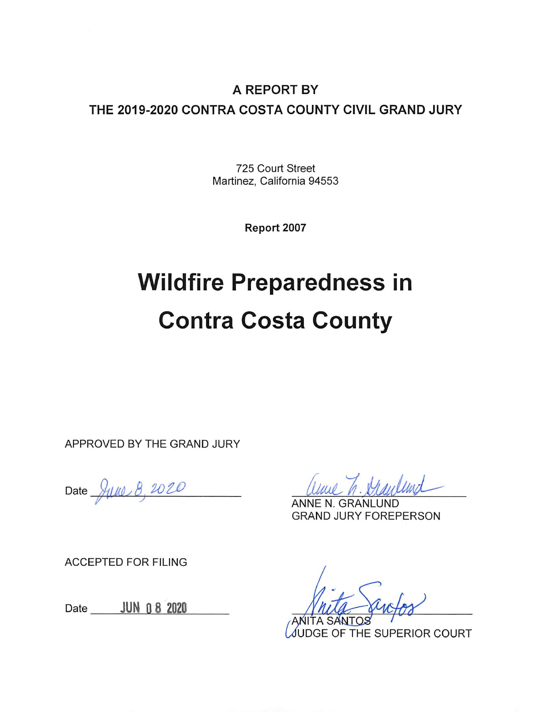#### A REPORT BY THE 2019-2020 CONTRA COSTA COUNTY CIVIL GRAND JURY

725 Court Street Martinez, California 94553

Report 2007

# **Wildfire Preparedness in Contra Costa County**

APPROVED BY THE GRAND JURY

Date June 8, 2020

**GRAND JURY FOREPERSON** 

**ACCEPTED FOR FILING** 

Date \_\_\_\_\_\_ JUN 0 8 2020

JUDGE OF THE SUPERIOR COURT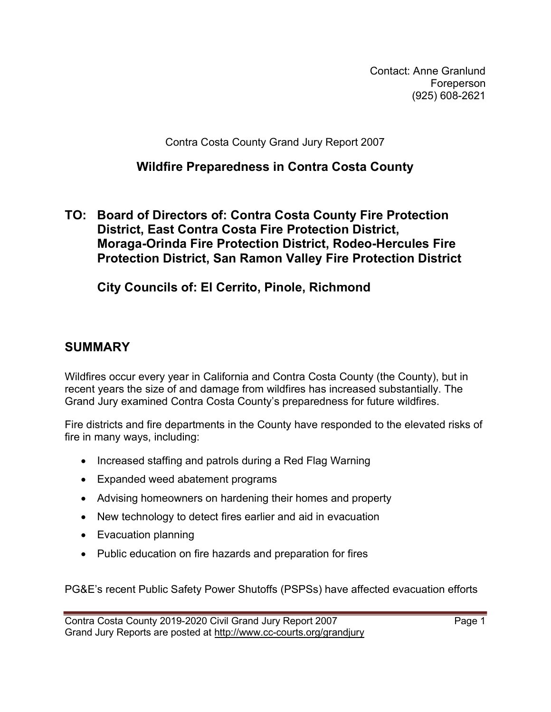Contact: Anne Granlund Foreperson (925) 608-2621

Contra Costa County Grand Jury Report 2007

#### Wildfire Preparedness in Contra Costa County

#### TO: Board of Directors of: Contra Costa County Fire Protection District, East Contra Costa Fire Protection District, Moraga-Orinda Fire Protection District, Rodeo-Hercules Fire Protection District, San Ramon Valley Fire Protection District

City Councils of: El Cerrito, Pinole, Richmond

#### SUMMARY

Wildfires occur every year in California and Contra Costa County (the County), but in recent years the size of and damage from wildfires has increased substantially. The Grand Jury examined Contra Costa County's preparedness for future wildfires.

Fire districts and fire departments in the County have responded to the elevated risks of fire in many ways, including:

- Increased staffing and patrols during a Red Flag Warning
- Expanded weed abatement programs
- Advising homeowners on hardening their homes and property
- New technology to detect fires earlier and aid in evacuation
- Evacuation planning
- Public education on fire hazards and preparation for fires

PG&E's recent Public Safety Power Shutoffs (PSPSs) have affected evacuation efforts

Contra Costa County 2019-2020 Civil Grand Jury Report 2007 Page 1 Grand Jury Reports are posted at http://www.cc-courts.org/grandjury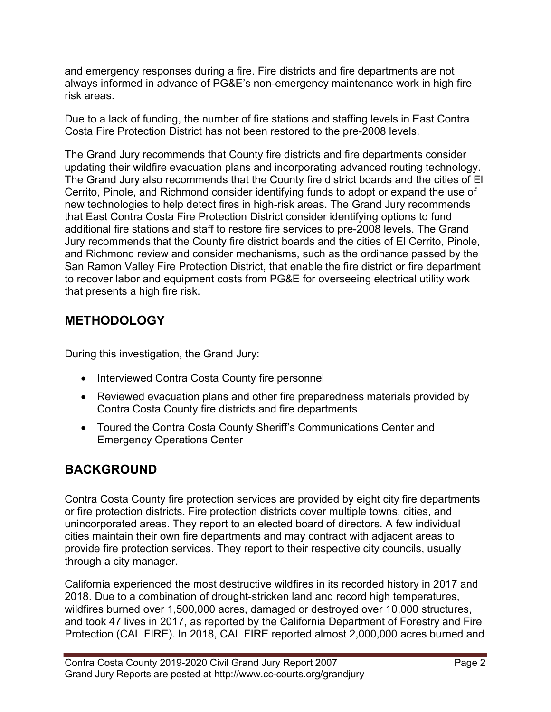and emergency responses during a fire. Fire districts and fire departments are not always informed in advance of PG&E's non-emergency maintenance work in high fire risk areas.

Due to a lack of funding, the number of fire stations and staffing levels in East Contra Costa Fire Protection District has not been restored to the pre-2008 levels.

The Grand Jury recommends that County fire districts and fire departments consider updating their wildfire evacuation plans and incorporating advanced routing technology. The Grand Jury also recommends that the County fire district boards and the cities of El Cerrito, Pinole, and Richmond consider identifying funds to adopt or expand the use of new technologies to help detect fires in high-risk areas. The Grand Jury recommends that East Contra Costa Fire Protection District consider identifying options to fund additional fire stations and staff to restore fire services to pre-2008 levels. The Grand Jury recommends that the County fire district boards and the cities of El Cerrito, Pinole, and Richmond review and consider mechanisms, such as the ordinance passed by the San Ramon Valley Fire Protection District, that enable the fire district or fire department to recover labor and equipment costs from PG&E for overseeing electrical utility work that presents a high fire risk.

#### **METHODOLOGY**

During this investigation, the Grand Jury:

- Interviewed Contra Costa County fire personnel
- Reviewed evacuation plans and other fire preparedness materials provided by Contra Costa County fire districts and fire departments
- Toured the Contra Costa County Sheriff's Communications Center and Emergency Operations Center

# BACKGROUND

Contra Costa County fire protection services are provided by eight city fire departments or fire protection districts. Fire protection districts cover multiple towns, cities, and unincorporated areas. They report to an elected board of directors. A few individual cities maintain their own fire departments and may contract with adjacent areas to provide fire protection services. They report to their respective city councils, usually through a city manager.

California experienced the most destructive wildfires in its recorded history in 2017 and 2018. Due to a combination of drought-stricken land and record high temperatures, wildfires burned over 1,500,000 acres, damaged or destroyed over 10,000 structures, and took 47 lives in 2017, as reported by the California Department of Forestry and Fire Protection (CAL FIRE). In 2018, CAL FIRE reported almost 2,000,000 acres burned and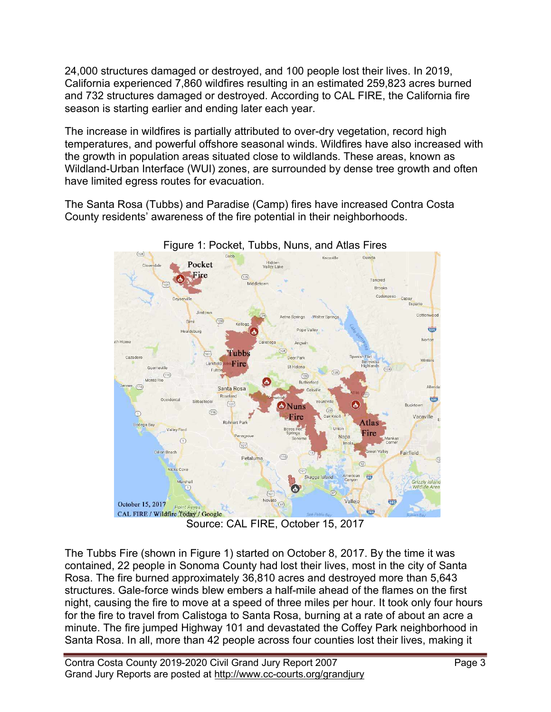24,000 structures damaged or destroyed, and 100 people lost their lives. In 2019, California experienced 7,860 wildfires resulting in an estimated 259,823 acres burned and 732 structures damaged or destroyed. According to CAL FIRE, the California fire season is starting earlier and ending later each year.

The increase in wildfires is partially attributed to over-dry vegetation, record high temperatures, and powerful offshore seasonal winds. Wildfires have also increased with the growth in population areas situated close to wildlands. These areas, known as Wildland-Urban Interface (WUI) zones, are surrounded by dense tree growth and often have limited egress routes for evacuation.

The Santa Rosa (Tubbs) and Paradise (Camp) fires have increased Contra Costa County residents' awareness of the fire potential in their neighborhoods.



Figure 1: Pocket, Tubbs, Nuns, and Atlas Fires

Source: CAL FIRE, October 15, 2017

The Tubbs Fire (shown in Figure 1) started on October 8, 2017. By the time it was contained, 22 people in Sonoma County had lost their lives, most in the city of Santa Rosa. The fire burned approximately 36,810 acres and destroyed more than 5,643 structures. Gale-force winds blew embers a half-mile ahead of the flames on the first night, causing the fire to move at a speed of three miles per hour. It took only four hours for the fire to travel from Calistoga to Santa Rosa, burning at a rate of about an acre a minute. The fire jumped Highway 101 and devastated the Coffey Park neighborhood in Santa Rosa. In all, more than 42 people across four counties lost their lives, making it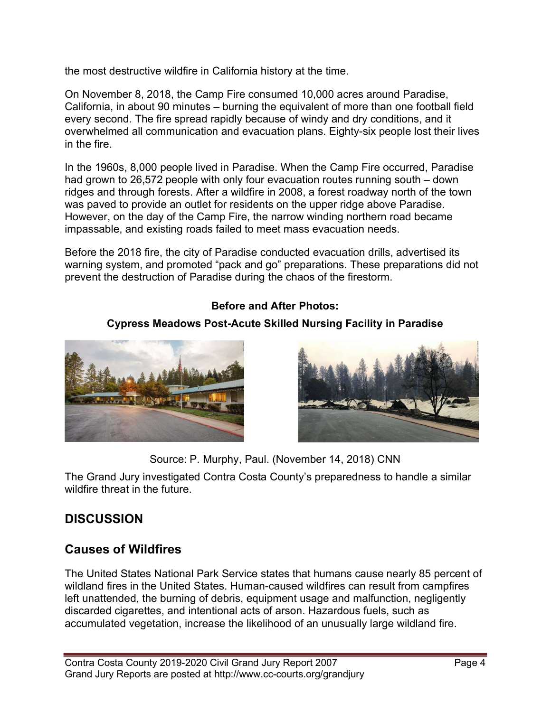the most destructive wildfire in California history at the time.

On November 8, 2018, the Camp Fire consumed 10,000 acres around Paradise, California, in about 90 minutes – burning the equivalent of more than one football field every second. The fire spread rapidly because of windy and dry conditions, and it overwhelmed all communication and evacuation plans. Eighty-six people lost their lives in the fire.

In the 1960s, 8,000 people lived in Paradise. When the Camp Fire occurred, Paradise had grown to 26,572 people with only four evacuation routes running south – down ridges and through forests. After a wildfire in 2008, a forest roadway north of the town was paved to provide an outlet for residents on the upper ridge above Paradise. However, on the day of the Camp Fire, the narrow winding northern road became impassable, and existing roads failed to meet mass evacuation needs.

Before the 2018 fire, the city of Paradise conducted evacuation drills, advertised its warning system, and promoted "pack and go" preparations. These preparations did not prevent the destruction of Paradise during the chaos of the firestorm.

#### Before and After Photos:

#### Cypress Meadows Post-Acute Skilled Nursing Facility in Paradise





Source: P. Murphy, Paul. (November 14, 2018) CNN

The Grand Jury investigated Contra Costa County's preparedness to handle a similar wildfire threat in the future.

# **DISCUSSION**

#### Causes of Wildfires

The United States National Park Service states that humans cause nearly 85 percent of wildland fires in the United States. Human-caused wildfires can result from campfires left unattended, the burning of debris, equipment usage and malfunction, negligently discarded cigarettes, and intentional acts of arson. Hazardous fuels, such as accumulated vegetation, increase the likelihood of an unusually large wildland fire.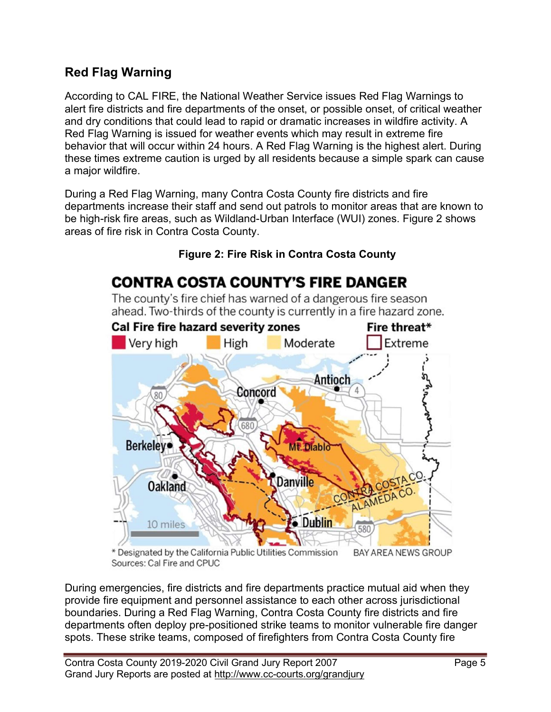#### Red Flag Warning

According to CAL FIRE, the National Weather Service issues Red Flag Warnings to alert fire districts and fire departments of the onset, or possible onset, of critical weather and dry conditions that could lead to rapid or dramatic increases in wildfire activity. A Red Flag Warning is issued for weather events which may result in extreme fire behavior that will occur within 24 hours. A Red Flag Warning is the highest alert. During these times extreme caution is urged by all residents because a simple spark can cause a major wildfire.

During a Red Flag Warning, many Contra Costa County fire districts and fire departments increase their staff and send out patrols to monitor areas that are known to be high-risk fire areas, such as Wildland-Urban Interface (WUI) zones. Figure 2 shows areas of fire risk in Contra Costa County.



Figure 2: Fire Risk in Contra Costa County

The county's fire chief has warned of a dangerous fire season ahead. Two-thirds of the county is currently in a fire hazard zone.

\* Designated by the California Public Utilities Commission BAY AREA NEWS GROUP Sources: Cal Fire and CPUC

During emergencies, fire districts and fire departments practice mutual aid when they provide fire equipment and personnel assistance to each other across jurisdictional boundaries. During a Red Flag Warning, Contra Costa County fire districts and fire departments often deploy pre-positioned strike teams to monitor vulnerable fire danger spots. These strike teams, composed of firefighters from Contra Costa County fire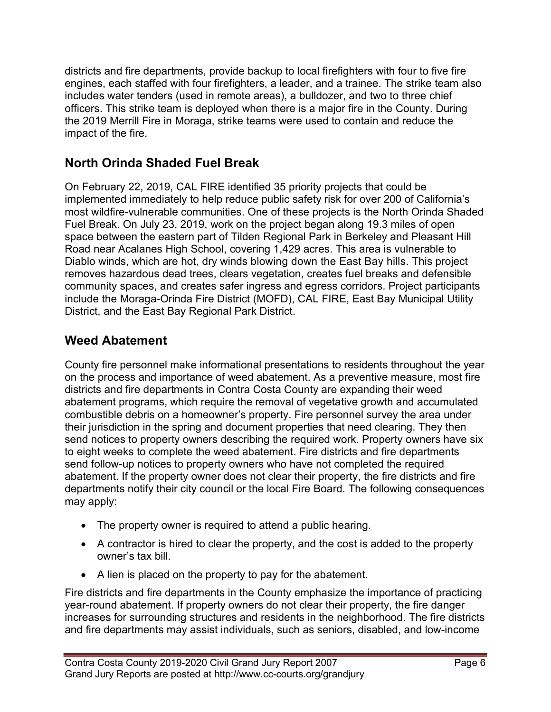districts and fire departments, provide backup to local firefighters with four to five fire engines, each staffed with four firefighters, a leader, and a trainee. The strike team also includes water tenders (used in remote areas), a bulldozer, and two to three chief officers. This strike team is deployed when there is a major fire in the County. During the 2019 Merrill Fire in Moraga, strike teams were used to contain and reduce the impact of the fire.

# North Orinda Shaded Fuel Break

On February 22, 2019, CAL FIRE identified 35 priority projects that could be implemented immediately to help reduce public safety risk for over 200 of California's most wildfire-vulnerable communities. One of these projects is the North Orinda Shaded Fuel Break. On July 23, 2019, work on the project began along 19.3 miles of open space between the eastern part of Tilden Regional Park in Berkeley and Pleasant Hill Road near Acalanes High School, covering 1,429 acres. This area is vulnerable to Diablo winds, which are hot, dry winds blowing down the East Bay hills. This project removes hazardous dead trees, clears vegetation, creates fuel breaks and defensible community spaces, and creates safer ingress and egress corridors. Project participants include the Moraga-Orinda Fire District (MOFD), CAL FIRE, East Bay Municipal Utility District, and the East Bay Regional Park District.

# Weed Abatement

County fire personnel make informational presentations to residents throughout the year on the process and importance of weed abatement. As a preventive measure, most fire districts and fire departments in Contra Costa County are expanding their weed abatement programs, which require the removal of vegetative growth and accumulated combustible debris on a homeowner's property. Fire personnel survey the area under their jurisdiction in the spring and document properties that need clearing. They then send notices to property owners describing the required work. Property owners have six to eight weeks to complete the weed abatement. Fire districts and fire departments send follow-up notices to property owners who have not completed the required abatement. If the property owner does not clear their property, the fire districts and fire departments notify their city council or the local Fire Board. The following consequences may apply:

- The property owner is required to attend a public hearing.
- A contractor is hired to clear the property, and the cost is added to the property owner's tax bill.
- A lien is placed on the property to pay for the abatement.

Fire districts and fire departments in the County emphasize the importance of practicing year-round abatement. If property owners do not clear their property, the fire danger increases for surrounding structures and residents in the neighborhood. The fire districts and fire departments may assist individuals, such as seniors, disabled, and low-income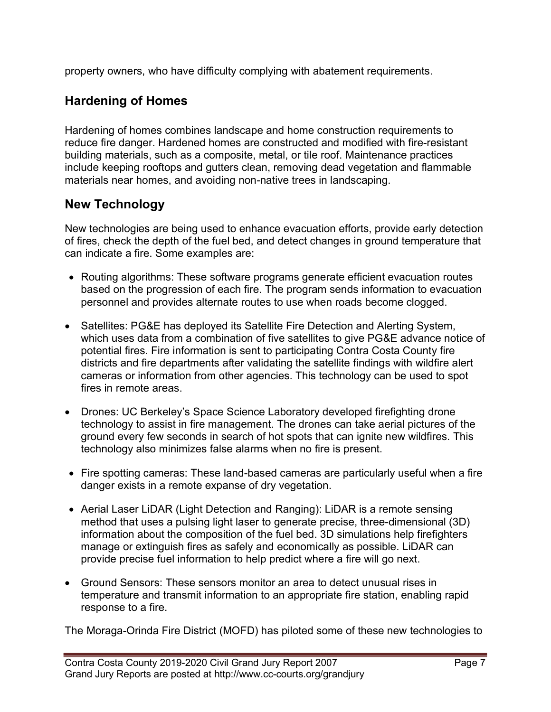property owners, who have difficulty complying with abatement requirements.

# Hardening of Homes

Hardening of homes combines landscape and home construction requirements to reduce fire danger. Hardened homes are constructed and modified with fire-resistant building materials, such as a composite, metal, or tile roof. Maintenance practices include keeping rooftops and gutters clean, removing dead vegetation and flammable materials near homes, and avoiding non-native trees in landscaping.

# New Technology

New technologies are being used to enhance evacuation efforts, provide early detection of fires, check the depth of the fuel bed, and detect changes in ground temperature that can indicate a fire. Some examples are:

- Routing algorithms: These software programs generate efficient evacuation routes based on the progression of each fire. The program sends information to evacuation personnel and provides alternate routes to use when roads become clogged.
- Satellites: PG&E has deployed its Satellite Fire Detection and Alerting System, which uses data from a combination of five satellites to give PG&E advance notice of potential fires. Fire information is sent to participating Contra Costa County fire districts and fire departments after validating the satellite findings with wildfire alert cameras or information from other agencies. This technology can be used to spot fires in remote areas.
- Drones: UC Berkeley's Space Science Laboratory developed firefighting drone technology to assist in fire management. The drones can take aerial pictures of the ground every few seconds in search of hot spots that can ignite new wildfires. This technology also minimizes false alarms when no fire is present.
- Fire spotting cameras: These land-based cameras are particularly useful when a fire danger exists in a remote expanse of dry vegetation.
- Aerial Laser LiDAR (Light Detection and Ranging): LiDAR is a remote sensing method that uses a pulsing light laser to generate precise, three-dimensional (3D) information about the composition of the fuel bed. 3D simulations help firefighters manage or extinguish fires as safely and economically as possible. LiDAR can provide precise fuel information to help predict where a fire will go next.
- Ground Sensors: These sensors monitor an area to detect unusual rises in temperature and transmit information to an appropriate fire station, enabling rapid response to a fire.

The Moraga-Orinda Fire District (MOFD) has piloted some of these new technologies to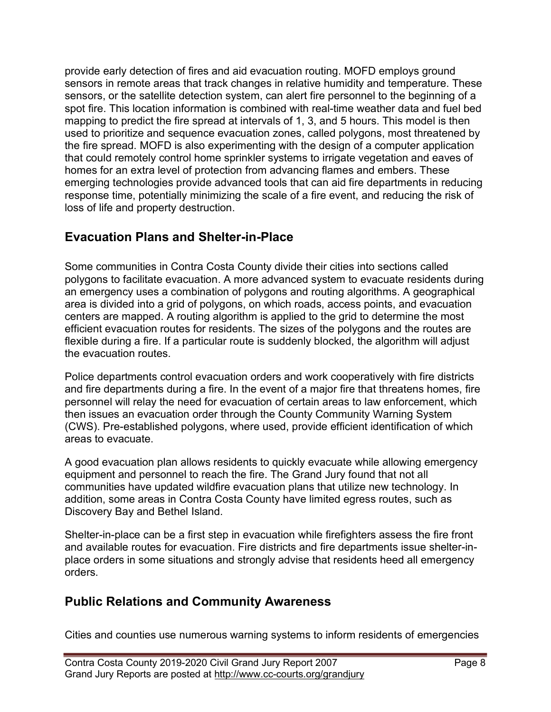provide early detection of fires and aid evacuation routing. MOFD employs ground sensors in remote areas that track changes in relative humidity and temperature. These sensors, or the satellite detection system, can alert fire personnel to the beginning of a spot fire. This location information is combined with real-time weather data and fuel bed mapping to predict the fire spread at intervals of 1, 3, and 5 hours. This model is then used to prioritize and sequence evacuation zones, called polygons, most threatened by the fire spread. MOFD is also experimenting with the design of a computer application that could remotely control home sprinkler systems to irrigate vegetation and eaves of homes for an extra level of protection from advancing flames and embers. These emerging technologies provide advanced tools that can aid fire departments in reducing response time, potentially minimizing the scale of a fire event, and reducing the risk of loss of life and property destruction.

#### Evacuation Plans and Shelter-in-Place

Some communities in Contra Costa County divide their cities into sections called polygons to facilitate evacuation. A more advanced system to evacuate residents during an emergency uses a combination of polygons and routing algorithms. A geographical area is divided into a grid of polygons, on which roads, access points, and evacuation centers are mapped. A routing algorithm is applied to the grid to determine the most efficient evacuation routes for residents. The sizes of the polygons and the routes are flexible during a fire. If a particular route is suddenly blocked, the algorithm will adjust the evacuation routes.

Police departments control evacuation orders and work cooperatively with fire districts and fire departments during a fire. In the event of a major fire that threatens homes, fire personnel will relay the need for evacuation of certain areas to law enforcement, which then issues an evacuation order through the County Community Warning System (CWS). Pre-established polygons, where used, provide efficient identification of which areas to evacuate.

A good evacuation plan allows residents to quickly evacuate while allowing emergency equipment and personnel to reach the fire. The Grand Jury found that not all communities have updated wildfire evacuation plans that utilize new technology. In addition, some areas in Contra Costa County have limited egress routes, such as Discovery Bay and Bethel Island.

Shelter-in-place can be a first step in evacuation while firefighters assess the fire front and available routes for evacuation. Fire districts and fire departments issue shelter-inplace orders in some situations and strongly advise that residents heed all emergency orders.

# Public Relations and Community Awareness

Cities and counties use numerous warning systems to inform residents of emergencies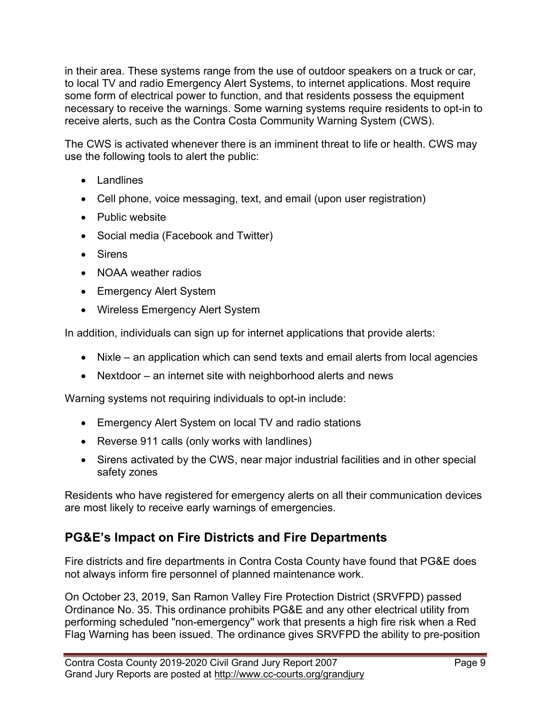in their area. These systems range from the use of outdoor speakers on a truck or car, to local TV and radio Emergency Alert Systems, to internet applications. Most require some form of electrical power to function, and that residents possess the equipment necessary to receive the warnings. Some warning systems require residents to opt-in to receive alerts, such as the Contra Costa Community Warning System (CWS).

The CWS is activated whenever there is an imminent threat to life or health. CWS may use the following tools to alert the public:

- Landlines
- Cell phone, voice messaging, text, and email (upon user registration)
- Public website
- Social media (Facebook and Twitter)
- Sirens
- NOAA weather radios
- Emergency Alert System
- Wireless Emergency Alert System

In addition, individuals can sign up for internet applications that provide alerts:

- Nixle an application which can send texts and email alerts from local agencies
- Nextdoor an internet site with neighborhood alerts and news

Warning systems not requiring individuals to opt-in include:

- Emergency Alert System on local TV and radio stations
- Reverse 911 calls (only works with landlines)
- Sirens activated by the CWS, near major industrial facilities and in other special safety zones

Residents who have registered for emergency alerts on all their communication devices are most likely to receive early warnings of emergencies.

#### PG&E's Impact on Fire Districts and Fire Departments

Fire districts and fire departments in Contra Costa County have found that PG&E does not always inform fire personnel of planned maintenance work.

On October 23, 2019, San Ramon Valley Fire Protection District (SRVFPD) passed Ordinance No. 35. This ordinance prohibits PG&E and any other electrical utility from performing scheduled "non-emergency'' work that presents a high fire risk when a Red Flag Warning has been issued. The ordinance gives SRVFPD the ability to pre-position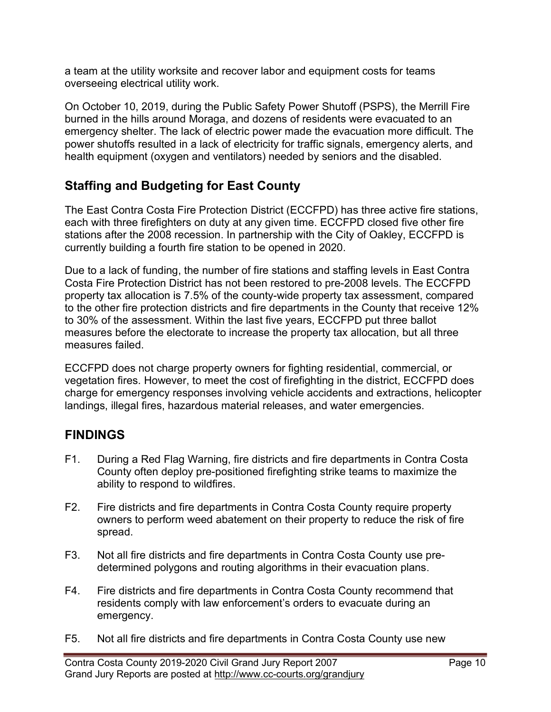a team at the utility worksite and recover labor and equipment costs for teams overseeing electrical utility work.

On October 10, 2019, during the Public Safety Power Shutoff (PSPS), the Merrill Fire burned in the hills around Moraga, and dozens of residents were evacuated to an emergency shelter. The lack of electric power made the evacuation more difficult. The power shutoffs resulted in a lack of electricity for traffic signals, emergency alerts, and health equipment (oxygen and ventilators) needed by seniors and the disabled.

# Staffing and Budgeting for East County

The East Contra Costa Fire Protection District (ECCFPD) has three active fire stations, each with three firefighters on duty at any given time. ECCFPD closed five other fire stations after the 2008 recession. In partnership with the City of Oakley, ECCFPD is currently building a fourth fire station to be opened in 2020.

Due to a lack of funding, the number of fire stations and staffing levels in East Contra Costa Fire Protection District has not been restored to pre-2008 levels. The ECCFPD property tax allocation is 7.5% of the county-wide property tax assessment, compared to the other fire protection districts and fire departments in the County that receive 12% to 30% of the assessment. Within the last five years, ECCFPD put three ballot measures before the electorate to increase the property tax allocation, but all three measures failed.

ECCFPD does not charge property owners for fighting residential, commercial, or vegetation fires. However, to meet the cost of firefighting in the district, ECCFPD does charge for emergency responses involving vehicle accidents and extractions, helicopter landings, illegal fires, hazardous material releases, and water emergencies.

# FINDINGS

- F1. During a Red Flag Warning, fire districts and fire departments in Contra Costa County often deploy pre-positioned firefighting strike teams to maximize the ability to respond to wildfires.
- F2. Fire districts and fire departments in Contra Costa County require property owners to perform weed abatement on their property to reduce the risk of fire spread.
- F3. Not all fire districts and fire departments in Contra Costa County use predetermined polygons and routing algorithms in their evacuation plans.
- F4. Fire districts and fire departments in Contra Costa County recommend that residents comply with law enforcement's orders to evacuate during an emergency.
- F5. Not all fire districts and fire departments in Contra Costa County use new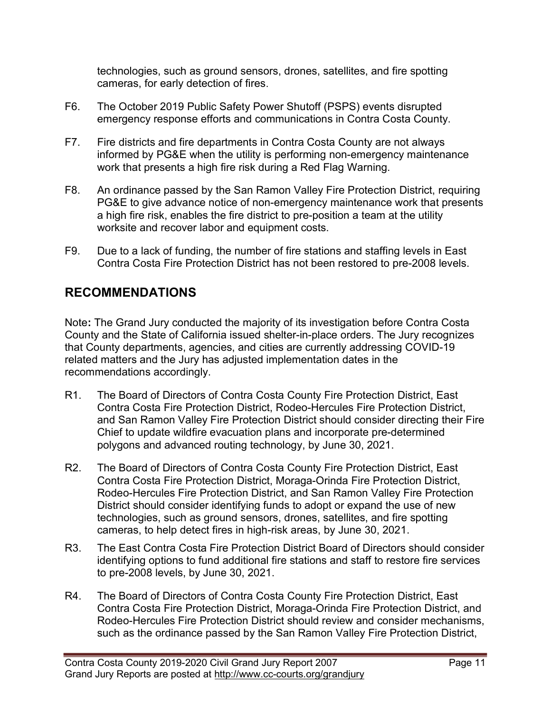technologies, such as ground sensors, drones, satellites, and fire spotting cameras, for early detection of fires.

- F6. The October 2019 Public Safety Power Shutoff (PSPS) events disrupted emergency response efforts and communications in Contra Costa County.
- F7. Fire districts and fire departments in Contra Costa County are not always informed by PG&E when the utility is performing non-emergency maintenance work that presents a high fire risk during a Red Flag Warning.
- F8. An ordinance passed by the San Ramon Valley Fire Protection District, requiring PG&E to give advance notice of non-emergency maintenance work that presents a high fire risk, enables the fire district to pre-position a team at the utility worksite and recover labor and equipment costs.
- F9. Due to a lack of funding, the number of fire stations and staffing levels in East Contra Costa Fire Protection District has not been restored to pre-2008 levels.

# RECOMMENDATIONS

Note: The Grand Jury conducted the majority of its investigation before Contra Costa County and the State of California issued shelter-in-place orders. The Jury recognizes that County departments, agencies, and cities are currently addressing COVID-19 related matters and the Jury has adjusted implementation dates in the recommendations accordingly.

- R1. The Board of Directors of Contra Costa County Fire Protection District, East Contra Costa Fire Protection District, Rodeo-Hercules Fire Protection District, and San Ramon Valley Fire Protection District should consider directing their Fire Chief to update wildfire evacuation plans and incorporate pre-determined polygons and advanced routing technology, by June 30, 2021.
- R2. The Board of Directors of Contra Costa County Fire Protection District, East Contra Costa Fire Protection District, Moraga-Orinda Fire Protection District, Rodeo-Hercules Fire Protection District, and San Ramon Valley Fire Protection District should consider identifying funds to adopt or expand the use of new technologies, such as ground sensors, drones, satellites, and fire spotting cameras, to help detect fires in high-risk areas, by June 30, 2021.
- R3. The East Contra Costa Fire Protection District Board of Directors should consider identifying options to fund additional fire stations and staff to restore fire services to pre-2008 levels, by June 30, 2021.
- R4. The Board of Directors of Contra Costa County Fire Protection District, East Contra Costa Fire Protection District, Moraga-Orinda Fire Protection District, and Rodeo-Hercules Fire Protection District should review and consider mechanisms, such as the ordinance passed by the San Ramon Valley Fire Protection District,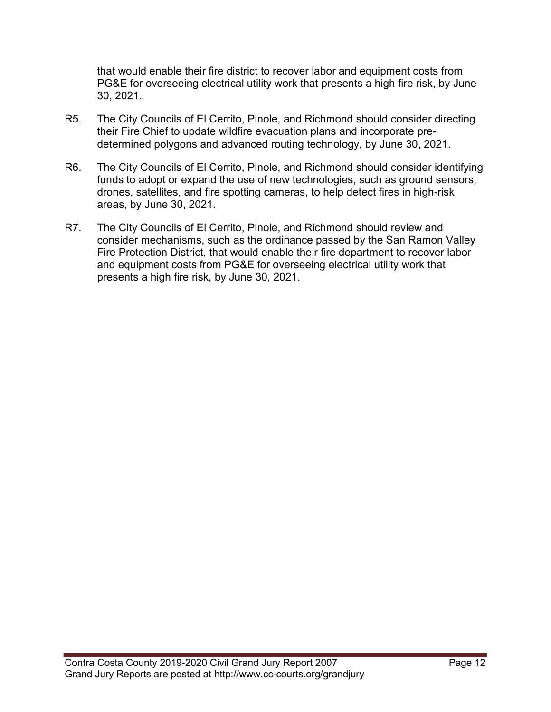that would enable their fire district to recover labor and equipment costs from PG&E for overseeing electrical utility work that presents a high fire risk, by June 30, 2021.

- R5. The City Councils of El Cerrito, Pinole, and Richmond should consider directing their Fire Chief to update wildfire evacuation plans and incorporate predetermined polygons and advanced routing technology, by June 30, 2021.
- R6. The City Councils of El Cerrito, Pinole, and Richmond should consider identifying funds to adopt or expand the use of new technologies, such as ground sensors, drones, satellites, and fire spotting cameras, to help detect fires in high-risk areas, by June 30, 2021.
- R7. The City Councils of El Cerrito, Pinole, and Richmond should review and consider mechanisms, such as the ordinance passed by the San Ramon Valley Fire Protection District, that would enable their fire department to recover labor and equipment costs from PG&E for overseeing electrical utility work that presents a high fire risk, by June 30, 2021.